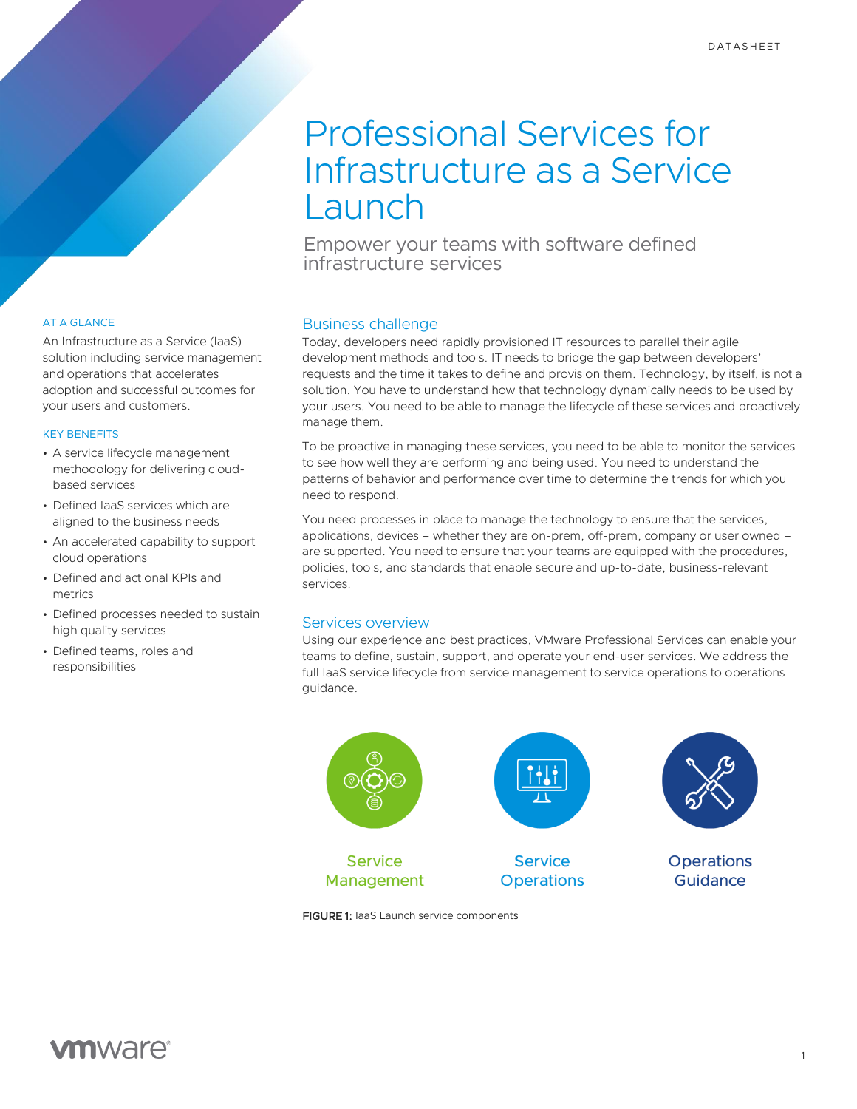# Professional Services for Infrastructure as a Service Launch

Empower your teams with software defined infrastructure services

## AT A GLANCE

An Infrastructure as a Service (IaaS) solution including service management and operations that accelerates adoption and successful outcomes for your users and customers.

#### KEY BENEFITS

- A service lifecycle management methodology for delivering cloudbased services
- Defined IaaS services which are aligned to the business needs
- An accelerated capability to support cloud operations
- Defined and actional KPIs and metrics
- Defined processes needed to sustain high quality services
- Defined teams, roles and responsibilities

#### Business challenge

Today, developers need rapidly provisioned IT resources to parallel their agile development methods and tools. IT needs to bridge the gap between developers' requests and the time it takes to define and provision them. Technology, by itself, is not a solution. You have to understand how that technology dynamically needs to be used by your users. You need to be able to manage the lifecycle of these services and proactively manage them.

To be proactive in managing these services, you need to be able to monitor the services to see how well they are performing and being used. You need to understand the patterns of behavior and performance over time to determine the trends for which you need to respond.

You need processes in place to manage the technology to ensure that the services, applications, devices – whether they are on-prem, off-prem, company or user owned – are supported. You need to ensure that your teams are equipped with the procedures, policies, tools, and standards that enable secure and up-to-date, business-relevant services.

## Services overview

Using our experience and best practices, VMware Professional Services can enable your teams to define, sustain, support, and operate your end-user services. We address the full IaaS service lifecycle from service management to service operations to operations guidance.



FIGURE 1: IaaS Launch service components